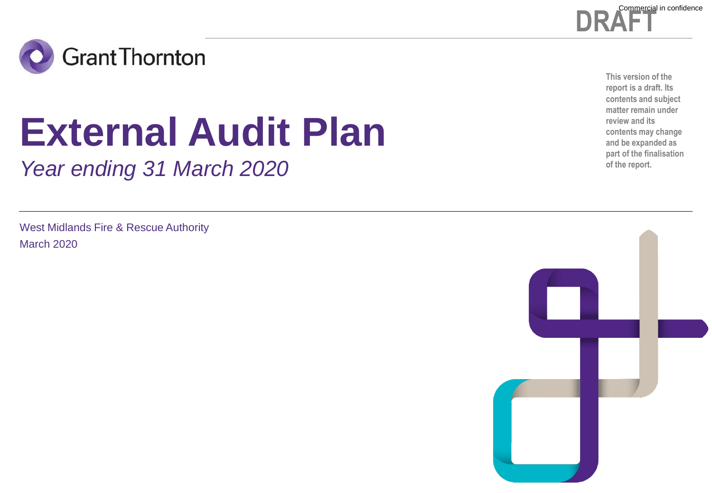



# **External Audit Plan**

*Year ending 31 March 2020*

West Midlands Fire & Rescue Authority March 2020

**This version of the report is a draft. Its contents and subject matter remain under review and its contents may change and be expanded as part of the finalisation of the report.**

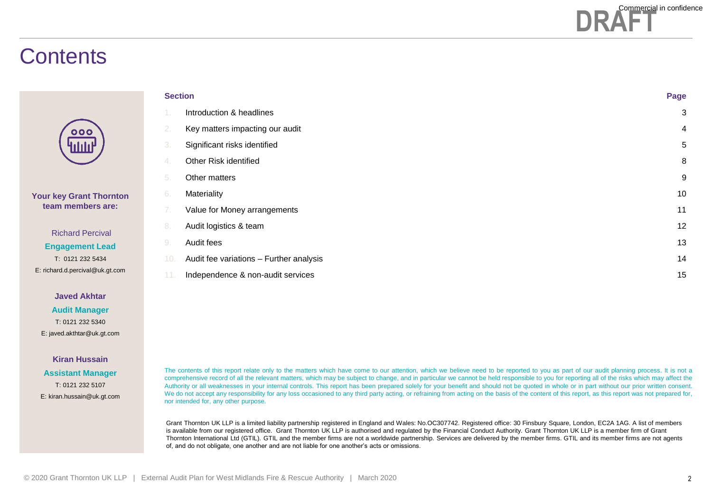

### **Contents**

| <b>Section</b> |                                         | Page |
|----------------|-----------------------------------------|------|
| -1.            | Introduction & headlines                | 3    |
| 2.             | Key matters impacting our audit         | 4    |
| 3.             | Significant risks identified            | 5    |
| 4.             | Other Risk identified                   | 8    |
| 5.             | Other matters                           | 9    |
| 6.             | Materiality                             | 10   |
| 7.             | Value for Money arrangements            | 11   |
| 8.             | Audit logistics & team                  | 12   |
| 9.             | Audit fees                              | 13   |
| 10.            | Audit fee variations - Further analysis | 14   |
| 11.            | Independence & non-audit services       | 15   |

**Javed Akhtar**

**Your key Grant Thornton team members are:**

Richard Percival **Engagement Lead** T: 0121 232 5434 E: richard.d.percival@uk.gt.com

**Audit Manager** T: 0121 232 5340 E: javed.akthtar@uk.gt.com

#### **Kiran Hussain**

**Assistant Manager** T: 0121 232 5107 E: kiran.hussain@uk.gt.com The contents of this report relate only to the matters which have come to our attention, which we believe need to be reported to you as part of our audit planning process. It is not a comprehensive record of all the relevant matters, which may be subject to change, and in particular we cannot be held responsible to you for reporting all of the risks which may affect the Authority or all weaknesses in your internal controls. This report has been prepared solely for your benefit and should not be quoted in whole or in part without our prior written consent. We do not accept any responsibility for any loss occasioned to any third party acting, or refraining from acting on the basis of the content of this report, as this report was not prepared for, nor intended for, any other purpose.

Grant Thornton UK LLP is a limited liability partnership registered in England and Wales: No.OC307742. Registered office: 30 Finsbury Square, London, EC2A 1AG. A list of members is available from our registered office. Grant Thornton UK LLP is authorised and regulated by the Financial Conduct Authority. Grant Thornton UK LLP is a member firm of Grant Thornton International Ltd (GTIL). GTIL and the member firms are not a worldwide partnership. Services are delivered by the member firms. GTIL and its member firms are not agents of, and do not obligate, one another and are not liable for one another's acts or omissions.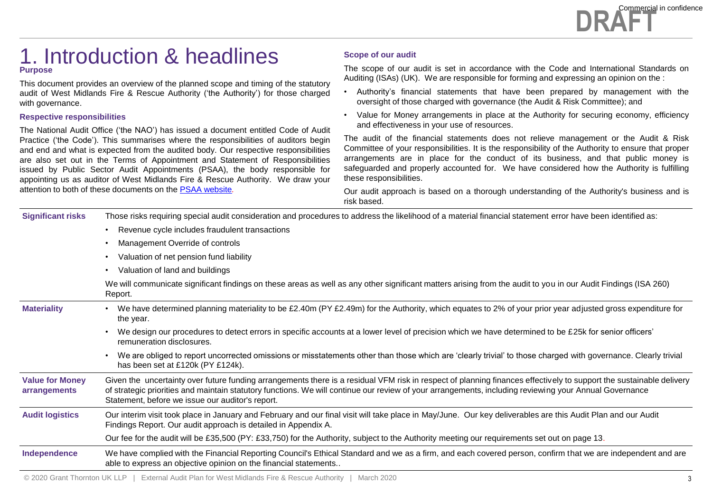### 1. Introduction & headlines **Purpose**

This document provides an overview of the planned scope and timing of the statutory audit of West Midlands Fire & Rescue Authority ('the Authority') for those charged with governance.

#### **Respective responsibilities**

The National Audit Office ('the NAO') has issued a document entitled Code of Audit Practice ('the Code'). This summarises where the responsibilities of auditors begin and end and what is expected from the audited body. Our respective responsibilities are also set out in the Terms of Appointment and Statement of Responsibilities issued by Public Sector Audit Appointments (PSAA), the body responsible for appointing us as auditor of West Midlands Fire & Rescue Authority. We draw your attention to both of these documents on the PSAA [website](https://www.psaa.co.uk/)*.*

#### **Scope of our audit**

The scope of our audit is set in accordance with the Code and International Standards on Auditing (ISAs) (UK). We are responsible for forming and expressing an opinion on the :

- Authority's financial statements that have been prepared by management with the oversight of those charged with governance (the Audit & Risk Committee); and
- Value for Money arrangements in place at the Authority for securing economy, efficiency and effectiveness in your use of resources.

The audit of the financial statements does not relieve management or the Audit & Risk Committee of your responsibilities. It is the responsibility of the Authority to ensure that proper arrangements are in place for the conduct of its business, and that public money is safeguarded and properly accounted for. We have considered how the Authority is fulfilling these responsibilities.

Our audit approach is based on a thorough understanding of the Authority's business and is risk based.

| <b>Significant risks</b>               | Those risks requiring special audit consideration and procedures to address the likelihood of a material financial statement error have been identified as:                                                                                                                                                                                                                       |  |  |
|----------------------------------------|-----------------------------------------------------------------------------------------------------------------------------------------------------------------------------------------------------------------------------------------------------------------------------------------------------------------------------------------------------------------------------------|--|--|
|                                        | Revenue cycle includes fraudulent transactions<br>$\bullet$                                                                                                                                                                                                                                                                                                                       |  |  |
|                                        | Management Override of controls                                                                                                                                                                                                                                                                                                                                                   |  |  |
|                                        | Valuation of net pension fund liability                                                                                                                                                                                                                                                                                                                                           |  |  |
|                                        | Valuation of land and buildings<br>$\bullet$                                                                                                                                                                                                                                                                                                                                      |  |  |
|                                        | We will communicate significant findings on these areas as well as any other significant matters arising from the audit to you in our Audit Findings (ISA 260)<br>Report.                                                                                                                                                                                                         |  |  |
| <b>Materiality</b>                     | We have determined planning materiality to be £2.40m (PY £2.49m) for the Authority, which equates to 2% of your prior year adjusted gross expenditure for<br>the year.                                                                                                                                                                                                            |  |  |
|                                        | We design our procedures to detect errors in specific accounts at a lower level of precision which we have determined to be £25k for senior officers'<br>remuneration disclosures.                                                                                                                                                                                                |  |  |
|                                        | We are obliged to report uncorrected omissions or misstatements other than those which are 'clearly trivial' to those charged with governance. Clearly trivial<br>has been set at £120k (PY £124k).                                                                                                                                                                               |  |  |
| <b>Value for Money</b><br>arrangements | Given the uncertainty over future funding arrangements there is a residual VFM risk in respect of planning finances effectively to support the sustainable delivery<br>of strategic priorities and maintain statutory functions. We will continue our review of your arrangements, including reviewing your Annual Governance<br>Statement, before we issue our auditor's report. |  |  |
| <b>Audit logistics</b>                 | Our interim visit took place in January and February and our final visit will take place in May/June. Our key deliverables are this Audit Plan and our Audit<br>Findings Report. Our audit approach is detailed in Appendix A.                                                                                                                                                    |  |  |
|                                        | Our fee for the audit will be £35,500 (PY: £33,750) for the Authority, subject to the Authority meeting our requirements set out on page 13.                                                                                                                                                                                                                                      |  |  |
| Independence                           | We have complied with the Financial Reporting Council's Ethical Standard and we as a firm, and each covered person, confirm that we are independent and are<br>able to express an objective opinion on the financial statements                                                                                                                                                   |  |  |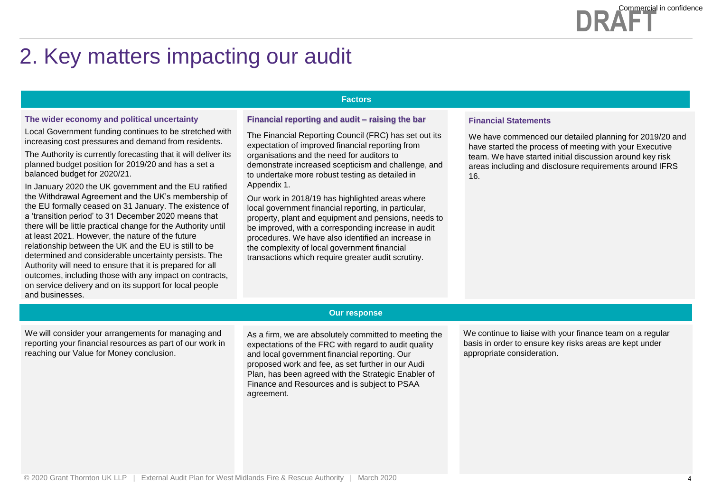# 2. Key matters impacting our audit

#### **Factors**

#### **The wider economy and political uncertainty**

Local Government funding continues to be stretched with increasing cost pressures and demand from residents.

The Authority is currently forecasting that it will deliver its planned budget position for 2019/20 and has a set a balanced budget for 2020/21.

. a 'transition period' to 31 December 2020 means that In January 2020 the UK government and the EU ratified the Withdrawal Agreement and the UK's membership of the EU formally ceased on 31 January. The existence of there will be little practical change for the Authority until at least 2021. However, the nature of the future relationship between the UK and the EU is still to be determined and considerable uncertainty persists. The Authority will need to ensure that it is prepared for all outcomes, including those with any impact on contracts, on service delivery and on its support for local people and businesses.

#### **Financial reporting and audit – raising the bar**

The Financial Reporting Council (FRC) has set out its expectation of improved financial reporting from organisations and the need for auditors to demonstrate increased scepticism and challenge, and to undertake more robust testing as detailed in Appendix 1.

Our work in 2018/19 has highlighted areas where local government financial reporting, in particular, property, plant and equipment and pensions, needs to be improved, with a corresponding increase in audit procedures. We have also identified an increase in the complexity of local government financial transactions which require greater audit scrutiny.

#### **Financial Statements**

We have commenced our detailed planning for 2019/20 and have started the process of meeting with your Executive team. We have started initial discussion around key risk areas including and disclosure requirements around IFRS 16.

We will consider your arrangements for managing and reporting your financial resources as part of our work in reaching our Value for Money conclusion.

#### **Our response**

As a firm, we are absolutely committed to meeting the expectations of the FRC with regard to audit quality and local government financial reporting. Our proposed work and fee, as set further in our Audi Plan, has been agreed with the Strategic Enabler of Finance and Resources and is subject to PSAA agreement.

We continue to liaise with your finance team on a regular basis in order to ensure key risks areas are kept under appropriate consideration.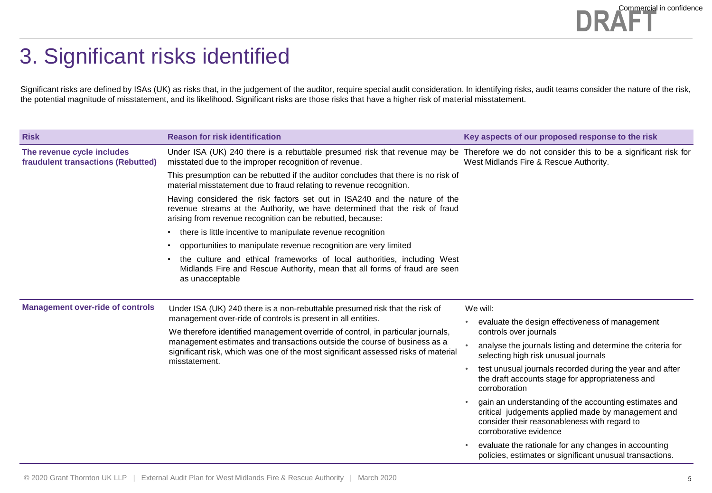### 3. Significant risks identified

Significant risks are defined by ISAs (UK) as risks that, in the judgement of the auditor, require special audit consideration. In identifying risks, audit teams consider the nature of the risk, the potential magnitude of misstatement, and its likelihood. Significant risks are those risks that have a higher risk of material misstatement.

| <b>Risk</b>                                                      | <b>Reason for risk identification</b>                                                                                                                                                                                                                               | Key aspects of our proposed response to the risk                                                                                                                                      |  |
|------------------------------------------------------------------|---------------------------------------------------------------------------------------------------------------------------------------------------------------------------------------------------------------------------------------------------------------------|---------------------------------------------------------------------------------------------------------------------------------------------------------------------------------------|--|
| The revenue cycle includes<br>fraudulent transactions (Rebutted) | Under ISA (UK) 240 there is a rebuttable presumed risk that revenue may be Therefore we do not consider this to be a significant risk for<br>misstated due to the improper recognition of revenue.                                                                  | West Midlands Fire & Rescue Authority.                                                                                                                                                |  |
|                                                                  | This presumption can be rebutted if the auditor concludes that there is no risk of<br>material misstatement due to fraud relating to revenue recognition.                                                                                                           |                                                                                                                                                                                       |  |
|                                                                  | Having considered the risk factors set out in ISA240 and the nature of the<br>revenue streams at the Authority, we have determined that the risk of fraud<br>arising from revenue recognition can be rebutted, because:                                             |                                                                                                                                                                                       |  |
|                                                                  | • there is little incentive to manipulate revenue recognition                                                                                                                                                                                                       |                                                                                                                                                                                       |  |
|                                                                  | • opportunities to manipulate revenue recognition are very limited                                                                                                                                                                                                  |                                                                                                                                                                                       |  |
|                                                                  | the culture and ethical frameworks of local authorities, including West<br>Midlands Fire and Rescue Authority, mean that all forms of fraud are seen<br>as unacceptable                                                                                             |                                                                                                                                                                                       |  |
|                                                                  |                                                                                                                                                                                                                                                                     |                                                                                                                                                                                       |  |
| <b>Management over-ride of controls</b>                          | Under ISA (UK) 240 there is a non-rebuttable presumed risk that the risk of<br>management over-ride of controls is present in all entities.                                                                                                                         | We will:                                                                                                                                                                              |  |
|                                                                  | We therefore identified management override of control, in particular journals,<br>management estimates and transactions outside the course of business as a<br>significant risk, which was one of the most significant assessed risks of material<br>misstatement. | evaluate the design effectiveness of management<br>controls over journals                                                                                                             |  |
|                                                                  |                                                                                                                                                                                                                                                                     | analyse the journals listing and determine the criteria for<br>selecting high risk unusual journals                                                                                   |  |
|                                                                  |                                                                                                                                                                                                                                                                     | test unusual journals recorded during the year and after<br>the draft accounts stage for appropriateness and<br>corroboration                                                         |  |
|                                                                  |                                                                                                                                                                                                                                                                     | gain an understanding of the accounting estimates and<br>critical judgements applied made by management and<br>consider their reasonableness with regard to<br>corroborative evidence |  |
|                                                                  |                                                                                                                                                                                                                                                                     | evaluate the rationale for any changes in accounting<br>policies, estimates or significant unusual transactions.                                                                      |  |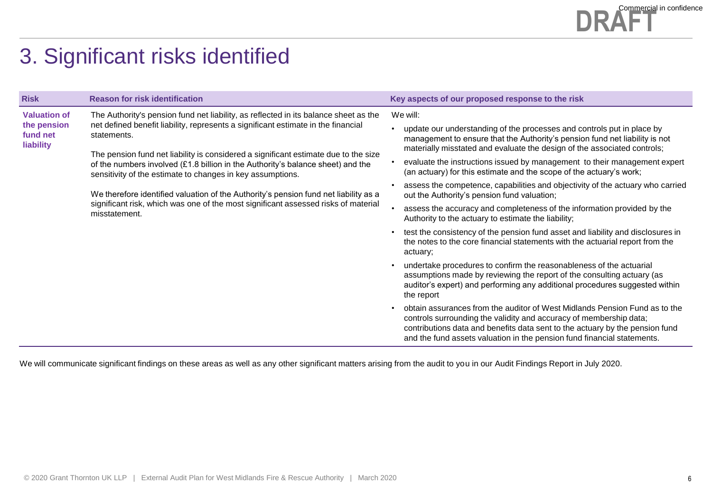### **DRAFT** Commercial in confidence

# 3. Significant risks identified

| <b>Risk</b>                          | <b>Reason for risk identification</b>                                                                                                                                                                                                | Key aspects of our proposed response to the risk                                                                                                                                                                                                                                                            |  |
|--------------------------------------|--------------------------------------------------------------------------------------------------------------------------------------------------------------------------------------------------------------------------------------|-------------------------------------------------------------------------------------------------------------------------------------------------------------------------------------------------------------------------------------------------------------------------------------------------------------|--|
| <b>Valuation of</b>                  | The Authority's pension fund net liability, as reflected in its balance sheet as the<br>net defined benefit liability, represents a significant estimate in the financial<br>statements.                                             | We will:                                                                                                                                                                                                                                                                                                    |  |
| the pension<br>fund net<br>liability |                                                                                                                                                                                                                                      | update our understanding of the processes and controls put in place by<br>management to ensure that the Authority's pension fund net liability is not<br>materially misstated and evaluate the design of the associated controls;                                                                           |  |
|                                      | The pension fund net liability is considered a significant estimate due to the size<br>of the numbers involved (£1.8 billion in the Authority's balance sheet) and the<br>sensitivity of the estimate to changes in key assumptions. | evaluate the instructions issued by management to their management expert<br>(an actuary) for this estimate and the scope of the actuary's work;                                                                                                                                                            |  |
|                                      | We therefore identified valuation of the Authority's pension fund net liability as a<br>significant risk, which was one of the most significant assessed risks of material<br>misstatement.                                          | assess the competence, capabilities and objectivity of the actuary who carried<br>out the Authority's pension fund valuation;                                                                                                                                                                               |  |
|                                      |                                                                                                                                                                                                                                      | assess the accuracy and completeness of the information provided by the<br>Authority to the actuary to estimate the liability;                                                                                                                                                                              |  |
|                                      |                                                                                                                                                                                                                                      | test the consistency of the pension fund asset and liability and disclosures in<br>the notes to the core financial statements with the actuarial report from the<br>actuary:                                                                                                                                |  |
|                                      |                                                                                                                                                                                                                                      | undertake procedures to confirm the reasonableness of the actuarial<br>assumptions made by reviewing the report of the consulting actuary (as<br>auditor's expert) and performing any additional procedures suggested within<br>the report                                                                  |  |
|                                      |                                                                                                                                                                                                                                      | obtain assurances from the auditor of West Midlands Pension Fund as to the<br>controls surrounding the validity and accuracy of membership data;<br>contributions data and benefits data sent to the actuary by the pension fund<br>and the fund assets valuation in the pension fund financial statements. |  |

We will communicate significant findings on these areas as well as any other significant matters arising from the audit to you in our Audit Findings Report in July 2020.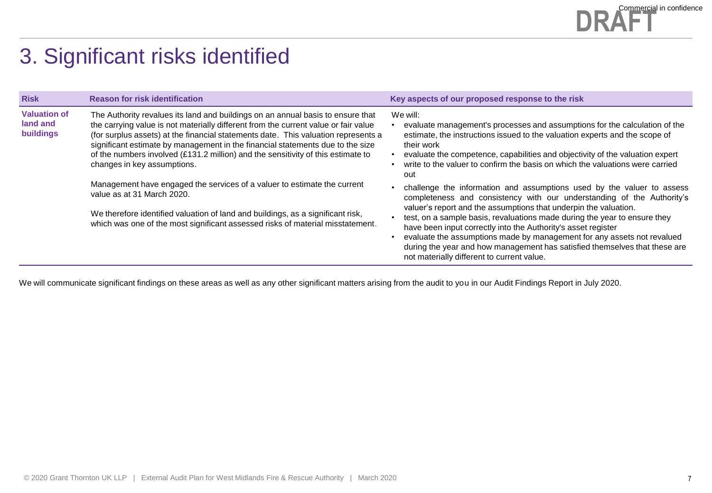### **DRAFT** Commercial in confidence

# 3. Significant risks identified

| <b>Valuation of</b><br>The Authority revalues its land and buildings on an annual basis to ensure that<br>We will:<br>land and<br>the carrying value is not materially different from the current value or fair value                                                                                                                                                                                                                                                                                                                                                                      | evaluate management's processes and assumptions for the calculation of the                                                                                                                                                                                                                                                                                                                                                                                                                                                                                                                                                                                                                                                                                                                                                               |
|--------------------------------------------------------------------------------------------------------------------------------------------------------------------------------------------------------------------------------------------------------------------------------------------------------------------------------------------------------------------------------------------------------------------------------------------------------------------------------------------------------------------------------------------------------------------------------------------|------------------------------------------------------------------------------------------------------------------------------------------------------------------------------------------------------------------------------------------------------------------------------------------------------------------------------------------------------------------------------------------------------------------------------------------------------------------------------------------------------------------------------------------------------------------------------------------------------------------------------------------------------------------------------------------------------------------------------------------------------------------------------------------------------------------------------------------|
| buildings<br>(for surplus assets) at the financial statements date. This valuation represents a<br>significant estimate by management in the financial statements due to the size<br>of the numbers involved (£131.2 million) and the sensitivity of this estimate to<br>changes in key assumptions.<br>out<br>Management have engaged the services of a valuer to estimate the current<br>value as at 31 March 2020.<br>We therefore identified valuation of land and buildings, as a significant risk,<br>which was one of the most significant assessed risks of material misstatement. | estimate, the instructions issued to the valuation experts and the scope of<br>their work<br>evaluate the competence, capabilities and objectivity of the valuation expert<br>write to the valuer to confirm the basis on which the valuations were carried<br>challenge the information and assumptions used by the valuer to assess<br>completeness and consistency with our understanding of the Authority's<br>valuer's report and the assumptions that underpin the valuation.<br>test, on a sample basis, revaluations made during the year to ensure they<br>have been input correctly into the Authority's asset register<br>evaluate the assumptions made by management for any assets not revalued<br>during the year and how management has satisfied themselves that these are<br>not materially different to current value. |

We will communicate significant findings on these areas as well as any other significant matters arising from the audit to you in our Audit Findings Report in July 2020.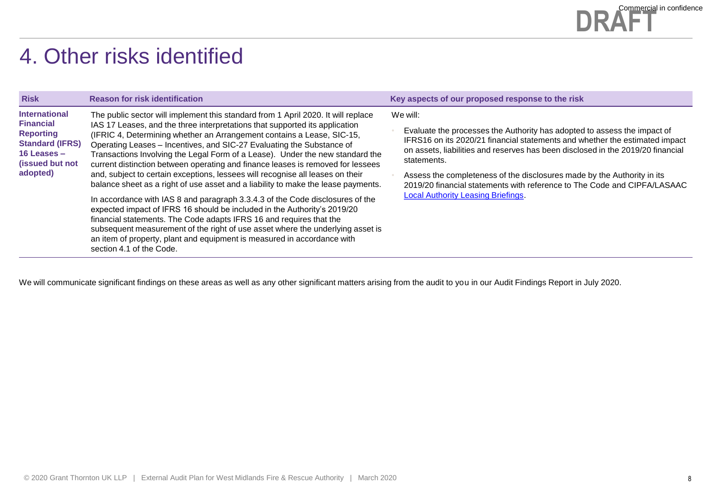

## 4. Other risks identified

| <b>Risk</b>                                                                                                                            | <b>Reason for risk identification</b>                                                                                                                                                                                                                                                                                                                                                                                                                                                                                                                                                                                                                                                                                                                                                                                                                                                                                                                                                                                                                                                       | Key aspects of our proposed response to the risk                                                                                                                                                                                                                                                                                                                                                                                                                          |
|----------------------------------------------------------------------------------------------------------------------------------------|---------------------------------------------------------------------------------------------------------------------------------------------------------------------------------------------------------------------------------------------------------------------------------------------------------------------------------------------------------------------------------------------------------------------------------------------------------------------------------------------------------------------------------------------------------------------------------------------------------------------------------------------------------------------------------------------------------------------------------------------------------------------------------------------------------------------------------------------------------------------------------------------------------------------------------------------------------------------------------------------------------------------------------------------------------------------------------------------|---------------------------------------------------------------------------------------------------------------------------------------------------------------------------------------------------------------------------------------------------------------------------------------------------------------------------------------------------------------------------------------------------------------------------------------------------------------------------|
| <b>International</b><br><b>Financial</b><br><b>Reporting</b><br><b>Standard (IFRS)</b><br>16 Leases $-$<br>(issued but not<br>adopted) | The public sector will implement this standard from 1 April 2020. It will replace<br>IAS 17 Leases, and the three interpretations that supported its application<br>(IFRIC 4, Determining whether an Arrangement contains a Lease, SIC-15,<br>Operating Leases - Incentives, and SIC-27 Evaluating the Substance of<br>Transactions Involving the Legal Form of a Lease). Under the new standard the<br>current distinction between operating and finance leases is removed for lessees<br>and, subject to certain exceptions, lessees will recognise all leases on their<br>balance sheet as a right of use asset and a liability to make the lease payments.<br>In accordance with IAS 8 and paragraph 3.3.4.3 of the Code disclosures of the<br>expected impact of IFRS 16 should be included in the Authority's 2019/20<br>financial statements. The Code adapts IFRS 16 and requires that the<br>subsequent measurement of the right of use asset where the underlying asset is<br>an item of property, plant and equipment is measured in accordance with<br>section 4.1 of the Code. | We will:<br>Evaluate the processes the Authority has adopted to assess the impact of<br>IFRS16 on its 2020/21 financial statements and whether the estimated impact<br>on assets, liabilities and reserves has been disclosed in the 2019/20 financial<br>statements.<br>Assess the completeness of the disclosures made by the Authority in its<br>2019/20 financial statements with reference to The Code and CIPFA/LASAAC<br><b>Local Authority Leasing Briefings.</b> |

We will communicate significant findings on these areas as well as any other significant matters arising from the audit to you in our Audit Findings Report in July 2020.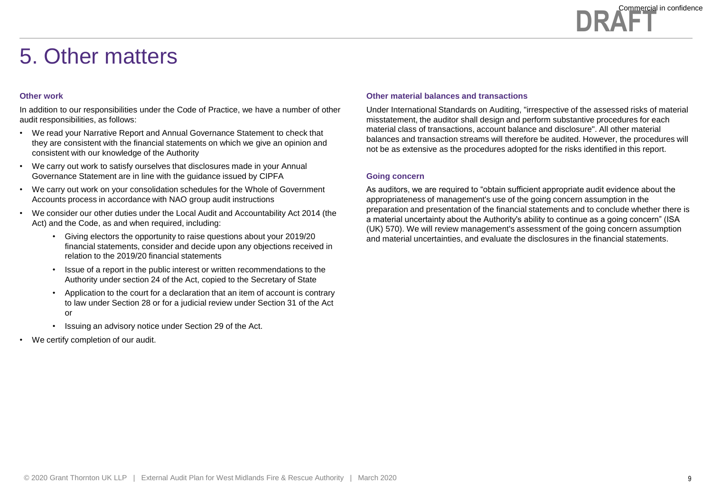

### 5. Other matters

#### **Other work**

In addition to our responsibilities under the Code of Practice, we have a number of other audit responsibilities, as follows:

- We read your Narrative Report and Annual Governance Statement to check that they are consistent with the financial statements on which we give an opinion and consistent with our knowledge of the Authority
- We carry out work to satisfy ourselves that disclosures made in your Annual Governance Statement are in line with the guidance issued by CIPFA
- We carry out work on your consolidation schedules for the Whole of Government Accounts process in accordance with NAO group audit instructions
- We consider our other duties under the Local Audit and Accountability Act 2014 (the Act) and the Code, as and when required, including:
	- Giving electors the opportunity to raise questions about your 2019/20 financial statements, consider and decide upon any objections received in relation to the 2019/20 financial statements
	- Issue of a report in the public interest or written recommendations to the Authority under section 24 of the Act, copied to the Secretary of State
	- Application to the court for a declaration that an item of account is contrary to law under Section 28 or for a judicial review under Section 31 of the Act or
	- Issuing an advisory notice under Section 29 of the Act.
- We certify completion of our audit.

#### **Other material balances and transactions**

Under International Standards on Auditing, "irrespective of the assessed risks of material misstatement, the auditor shall design and perform substantive procedures for each material class of transactions, account balance and disclosure". All other material balances and transaction streams will therefore be audited. However, the procedures will not be as extensive as the procedures adopted for the risks identified in this report.

#### **Going concern**

As auditors, we are required to "obtain sufficient appropriate audit evidence about the appropriateness of management's use of the going concern assumption in the preparation and presentation of the financial statements and to conclude whether there is a material uncertainty about the Authority's ability to continue as a going concern" (ISA (UK) 570). We will review management's assessment of the going concern assumption and material uncertainties, and evaluate the disclosures in the financial statements.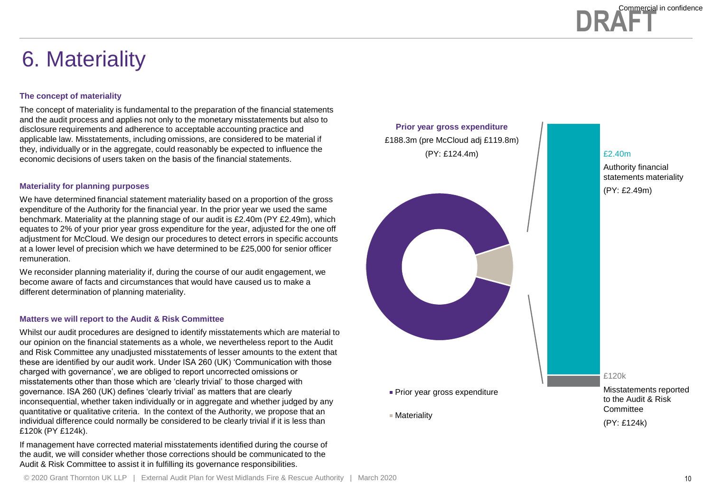

### 6. Materiality

#### **The concept of materiality**

The concept of materiality is fundamental to the preparation of the financial statements and the audit process and applies not only to the monetary misstatements but also to disclosure requirements and adherence to acceptable accounting practice and applicable law. Misstatements, including omissions, are considered to be material if they, individually or in the aggregate, could reasonably be expected to influence the economic decisions of users taken on the basis of the financial statements.

#### **Materiality for planning purposes**

We have determined financial statement materiality based on a proportion of the gross expenditure of the Authority for the financial year. In the prior year we used the same benchmark. Materiality at the planning stage of our audit is £2.40m (PY £2.49m), which equates to 2% of your prior year gross expenditure for the year, adjusted for the one off adjustment for McCloud. We design our procedures to detect errors in specific accounts at a lower level of precision which we have determined to be £25,000 for senior officer remuneration.

We reconsider planning materiality if, during the course of our audit engagement, we become aware of facts and circumstances that would have caused us to make a different determination of planning materiality.

#### **Matters we will report to the Audit & Risk Committee**

Whilst our audit procedures are designed to identify misstatements which are material to our opinion on the financial statements as a whole, we nevertheless report to the Audit and Risk Committee any unadjusted misstatements of lesser amounts to the extent that these are identified by our audit work. Under ISA 260 (UK) 'Communication with those charged with governance', we are obliged to report uncorrected omissions or misstatements other than those which are 'clearly trivial' to those charged with governance. ISA 260 (UK) defines 'clearly trivial' as matters that are clearly inconsequential, whether taken individually or in aggregate and whether judged by any quantitative or qualitative criteria. In the context of the Authority, we propose that an individual difference could normally be considered to be clearly trivial if it is less than £120k (PY £124k).

If management have corrected material misstatements identified during the course of the audit, we will consider whether those corrections should be communicated to the Audit & Risk Committee to assist it in fulfilling its governance responsibilities.



#### £2.40m

Authority financial statements materiality (PY: £2.49m)

£120k

Misstatements reported to the Audit & Risk **Committee** (PY: £124k)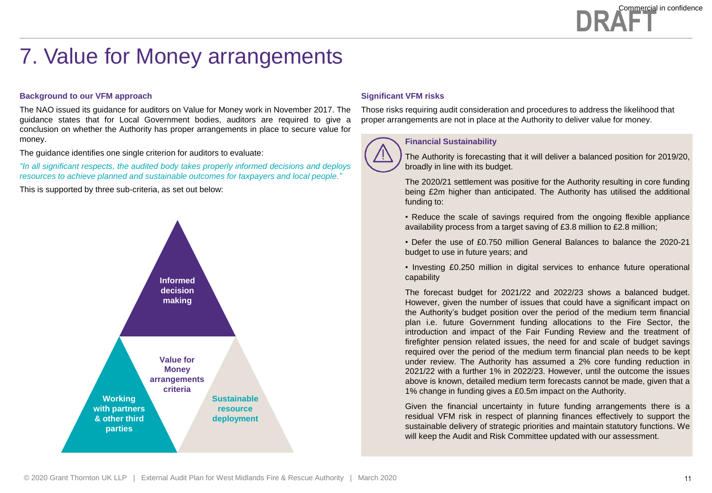## 7. Value for Money arrangements

#### **Background to our VFM approach**

The NAO issued its guidance for auditors on Value for Money work in November 2017. The guidance states that for Local Government bodies, auditors are required to give a conclusion on whether the Authority has proper arrangements in place to secure value for money.

The guidance identifies one single criterion for auditors to evaluate:

*"In all significant respects, the audited body takes properly informed decisions and deploys resources to achieve planned and sustainable outcomes for taxpayers and local people."*

This is supported by three sub-criteria, as set out below:



#### **Significant VFM risks**

**Financial Sustainability**

Those risks requiring audit consideration and procedures to address the likelihood that proper arrangements are not in place at the Authority to deliver value for money.

The Authority is forecasting that it will deliver a balanced position for 2019/20, broadly in line with its budget.

The 2020/21 settlement was positive for the Authority resulting in core funding being £2m higher than anticipated. The Authority has utilised the additional funding to:

• Reduce the scale of savings required from the ongoing flexible appliance availability process from a target saving of £3.8 million to £2.8 million;

• Defer the use of £0.750 million General Balances to balance the 2020-21 budget to use in future years; and

• Investing £0.250 million in digital services to enhance future operational capability

The forecast budget for 2021/22 and 2022/23 shows a balanced budget. However, given the number of issues that could have a significant impact on the Authority's budget position over the period of the medium term financial plan i.e. future Government funding allocations to the Fire Sector, the introduction and impact of the Fair Funding Review and the treatment of firefighter pension related issues, the need for and scale of budget savings required over the period of the medium term financial plan needs to be kept under review. The Authority has assumed a 2% core funding reduction in 2021/22 with a further 1% in 2022/23. However, until the outcome the issues above is known, detailed medium term forecasts cannot be made, given that a 1% change in funding gives a £0.5m impact on the Authority.

Given the financial uncertainty in future funding arrangements there is a residual VFM risk in respect of planning finances effectively to support the sustainable delivery of strategic priorities and maintain statutory functions. We will keep the Audit and Risk Committee updated with our assessment.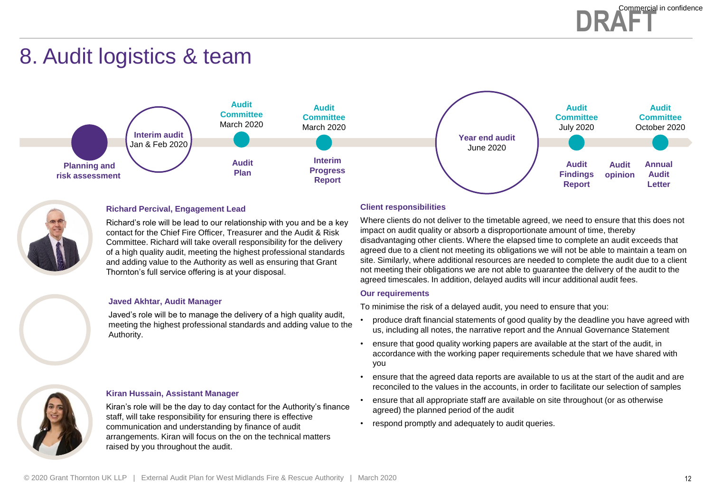### **DRAFT** Commercial in confidence

### 8. Audit logistics & team





#### **Richard Percival, Engagement Lead**

Richard's role will be lead to our relationship with you and be a key contact for the Chief Fire Officer, Treasurer and the Audit & Risk Committee. Richard will take overall responsibility for the delivery of a high quality audit, meeting the highest professional standards and adding value to the Authority as well as ensuring that Grant Thornton's full service offering is at your disposal.

#### **Javed Akhtar, Audit Manager**

Javed's role will be to manage the delivery of a high quality audit, meeting the highest professional standards and adding value to the Authority.

#### **Kiran Hussain, Assistant Manager**

Kiran's role will be the day to day contact for the Authority's finance staff, will take responsibility for ensuring there is effective communication and understanding by finance of audit arrangements. Kiran will focus on the on the technical matters raised by you throughout the audit.

#### **Client responsibilities**

Where clients do not deliver to the timetable agreed, we need to ensure that this does not impact on audit quality or absorb a disproportionate amount of time, thereby disadvantaging other clients. Where the elapsed time to complete an audit exceeds that agreed due to a client not meeting its obligations we will not be able to maintain a team on site. Similarly, where additional resources are needed to complete the audit due to a client not meeting their obligations we are not able to guarantee the delivery of the audit to the agreed timescales. In addition, delayed audits will incur additional audit fees.

#### **Our requirements**

To minimise the risk of a delayed audit, you need to ensure that you:

- produce draft financial statements of good quality by the deadline you have agreed with us, including all notes, the narrative report and the Annual Governance Statement
- ensure that good quality working papers are available at the start of the audit, in accordance with the working paper requirements schedule that we have shared with you
- ensure that the agreed data reports are available to us at the start of the audit and are reconciled to the values in the accounts, in order to facilitate our selection of samples
- ensure that all appropriate staff are available on site throughout (or as otherwise agreed) the planned period of the audit
- respond promptly and adequately to audit queries.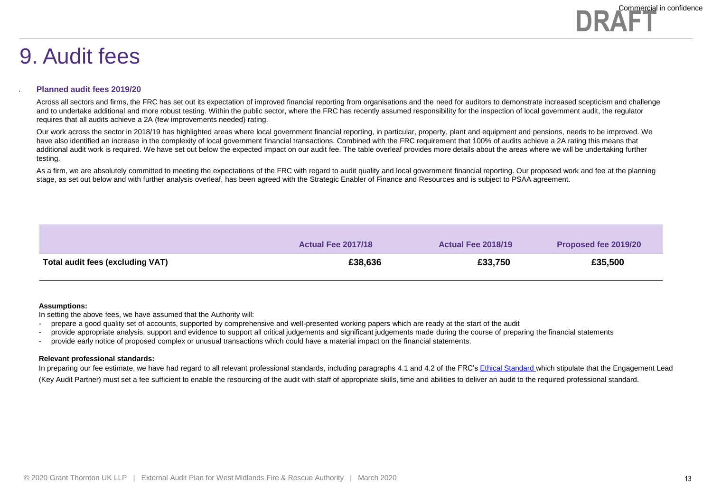### 9. Audit fees

#### **Planned audit fees 2019/20**

.

Across all sectors and firms, the FRC has set out its expectation of improved financial reporting from organisations and the need for auditors to demonstrate increased scepticism and challenge and to undertake additional and more robust testing. Within the public sector, where the FRC has recently assumed responsibility for the inspection of local government audit, the regulator requires that all audits achieve a 2A (few improvements needed) rating.

Our work across the sector in 2018/19 has highlighted areas where local government financial reporting, in particular, property, plant and equipment and pensions, needs to be improved. We have also identified an increase in the complexity of local government financial transactions. Combined with the FRC requirement that 100% of audits achieve a 2A rating this means that additional audit work is required. We have set out below the expected impact on our audit fee. The table overleaf provides more details about the areas where we will be undertaking further testing.

As a firm, we are absolutely committed to meeting the expectations of the FRC with regard to audit quality and local government financial reporting. Our proposed work and fee at the planning stage, as set out below and with further analysis overleaf, has been agreed with the Strategic Enabler of Finance and Resources and is subject to PSAA agreement.

|                                  | <b>Actual Fee 2017/18</b> | <b>Actual Fee 2018/19</b> | Proposed fee 2019/20 |
|----------------------------------|---------------------------|---------------------------|----------------------|
| Total audit fees (excluding VAT) | £38,636                   | £33,750                   | £35,500              |

#### **Assumptions:**

In setting the above fees, we have assumed that the Authority will:

- prepare a good quality set of accounts, supported by comprehensive and well-presented working papers which are ready at the start of the audit

- provide appropriate analysis, support and evidence to support all critical judgements and significant judgements made during the course of preparing the financial statements
- provide early notice of proposed complex or unusual transactions which could have a material impact on the financial statements.

#### **Relevant professional standards:**

In preparing our fee estimate, we have had regard to all relevant professional standards, including paragraphs 4.1 and 4.2 of the FRC's [Ethical Standard](https://www.frc.org.uk/getattachment/0bd6ee4e-075c-4b55-a4ad-b8e5037b56c6/Revised-Ethical-Standard-2016-UK.pdf) which stipulate that the Engagement Lead (Key Audit Partner) must set a fee sufficient to enable the resourcing of the audit with staff of appropriate skills, time and abilities to deliver an audit to the required professional standard.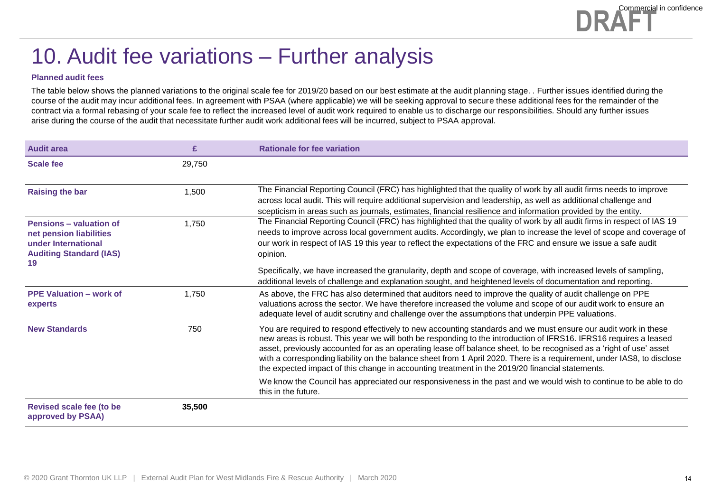### 10. Audit fee variations – Further analysis

#### **Planned audit fees**

The table below shows the planned variations to the original scale fee for 2019/20 based on our best estimate at the audit planning stage. . Further issues identified during the course of the audit may incur additional fees. In agreement with PSAA (where applicable) we will be seeking approval to secure these additional fees for the remainder of the contract via a formal rebasing of your scale fee to reflect the increased level of audit work required to enable us to discharge our responsibilities. Should any further issues arise during the course of the audit that necessitate further audit work additional fees will be incurred, subject to PSAA approval.

| <b>Audit area</b>                                                                                                 | £      | <b>Rationale for fee variation</b>                                                                                                                                                                                                                                                                                                                                                                                                                                                                                                                                                      |
|-------------------------------------------------------------------------------------------------------------------|--------|-----------------------------------------------------------------------------------------------------------------------------------------------------------------------------------------------------------------------------------------------------------------------------------------------------------------------------------------------------------------------------------------------------------------------------------------------------------------------------------------------------------------------------------------------------------------------------------------|
| <b>Scale fee</b>                                                                                                  | 29,750 |                                                                                                                                                                                                                                                                                                                                                                                                                                                                                                                                                                                         |
| <b>Raising the bar</b>                                                                                            | 1.500  | The Financial Reporting Council (FRC) has highlighted that the quality of work by all audit firms needs to improve<br>across local audit. This will require additional supervision and leadership, as well as additional challenge and<br>scepticism in areas such as journals, estimates, financial resilience and information provided by the entity.                                                                                                                                                                                                                                 |
| Pensions - valuation of<br>net pension liabilities<br>under International<br><b>Auditing Standard (IAS)</b><br>19 | 1.750  | The Financial Reporting Council (FRC) has highlighted that the quality of work by all audit firms in respect of IAS 19<br>needs to improve across local government audits. Accordingly, we plan to increase the level of scope and coverage of<br>our work in respect of IAS 19 this year to reflect the expectations of the FRC and ensure we issue a safe audit<br>opinion.                                                                                                                                                                                                           |
|                                                                                                                   |        | Specifically, we have increased the granularity, depth and scope of coverage, with increased levels of sampling,<br>additional levels of challenge and explanation sought, and heightened levels of documentation and reporting.                                                                                                                                                                                                                                                                                                                                                        |
| <b>PPE Valuation - work of</b><br>experts                                                                         | 1.750  | As above, the FRC has also determined that auditors need to improve the quality of audit challenge on PPE<br>valuations across the sector. We have therefore increased the volume and scope of our audit work to ensure an<br>adequate level of audit scrutiny and challenge over the assumptions that underpin PPE valuations.                                                                                                                                                                                                                                                         |
| <b>New Standards</b>                                                                                              | 750    | You are required to respond effectively to new accounting standards and we must ensure our audit work in these<br>new areas is robust. This year we will both be responding to the introduction of IFRS16. IFRS16 requires a leased<br>asset, previously accounted for as an operating lease off balance sheet, to be recognised as a 'right of use' asset<br>with a corresponding liability on the balance sheet from 1 April 2020. There is a requirement, under IAS8, to disclose<br>the expected impact of this change in accounting treatment in the 2019/20 financial statements. |
|                                                                                                                   |        | We know the Council has appreciated our responsiveness in the past and we would wish to continue to be able to do<br>this in the future.                                                                                                                                                                                                                                                                                                                                                                                                                                                |
| <b>Revised scale fee (to be</b><br>approved by PSAA)                                                              | 35,500 |                                                                                                                                                                                                                                                                                                                                                                                                                                                                                                                                                                                         |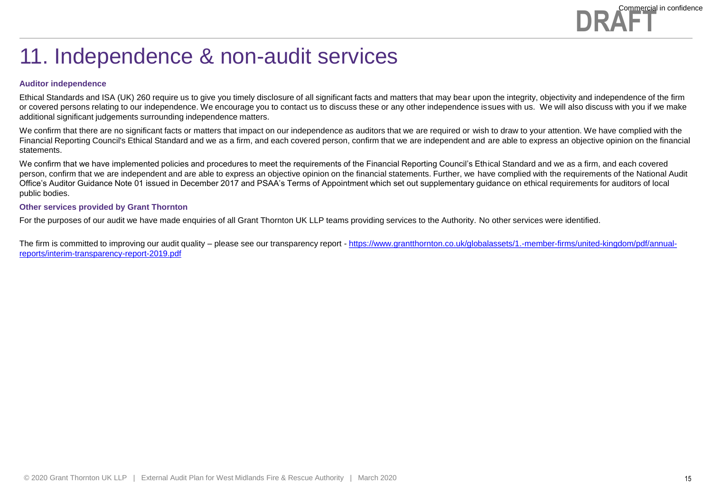

### 11. Independence & non-audit services

#### **Auditor independence**

Ethical Standards and ISA (UK) 260 require us to give you timely disclosure of all significant facts and matters that may bear upon the integrity, objectivity and independence of the firm or covered persons relating to our independence. We encourage you to contact us to discuss these or any other independence issues with us. We will also discuss with you if we make additional significant judgements surrounding independence matters.

We confirm that there are no significant facts or matters that impact on our independence as auditors that we are required or wish to draw to your attention. We have complied with the Financial Reporting Council's Ethical Standard and we as a firm, and each covered person, confirm that we are independent and are able to express an objective opinion on the financial statements.

We confirm that we have implemented policies and procedures to meet the requirements of the Financial Reporting Council's Ethical Standard and we as a firm, and each covered person, confirm that we are independent and are able to express an objective opinion on the financial statements. Further, we have complied with the requirements of the National Audit Office's Auditor Guidance Note 01 issued in December 2017 and PSAA's Terms of Appointment which set out supplementary guidance on ethical requirements for auditors of local public bodies.

#### **Other services provided by Grant Thornton**

For the purposes of our audit we have made enquiries of all Grant Thornton UK LLP teams providing services to the Authority. No other services were identified.

The firm is committed to improving our audit quality – please see our transparency report - [https://www.grantthornton.co.uk/globalassets/1.-member-firms/united-kingdom/pdf/annual](https://www.grantthornton.co.uk/globalassets/1.-member-firms/united-kingdom/pdf/annual-reports/interim-transparency-report-2019.pdf)reports/interim-transparency-report-2019.pdf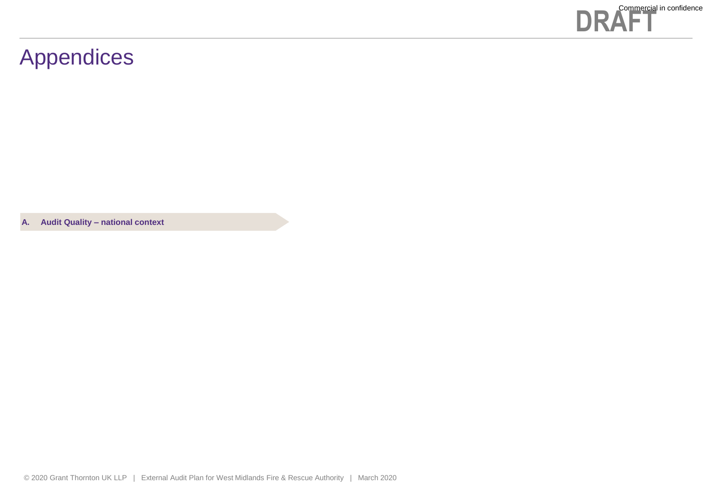

### Appendices

**A. Audit Quality – national context**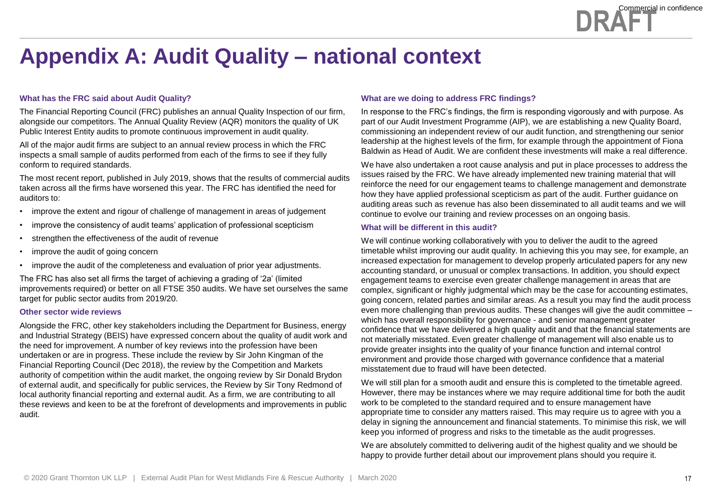### **Appendix A: Audit Quality – national context**

#### **What has the FRC said about Audit Quality?**

The Financial Reporting Council (FRC) publishes an annual Quality Inspection of our firm, alongside our competitors. The Annual Quality Review (AQR) monitors the quality of UK Public Interest Entity audits to promote continuous improvement in audit quality.

All of the major audit firms are subject to an annual review process in which the FRC inspects a small sample of audits performed from each of the firms to see if they fully conform to required standards.

The most recent report, published in July 2019, shows that the results of commercial audits taken across all the firms have worsened this year. The FRC has identified the need for auditors to:

- improve the extent and rigour of challenge of management in areas of judgement
- improve the consistency of audit teams' application of professional scepticism
- strengthen the effectiveness of the audit of revenue
- improve the audit of going concern
- improve the audit of the completeness and evaluation of prior year adjustments.

The FRC has also set all firms the target of achieving a grading of '2a' (limited improvements required) or better on all FTSE 350 audits. We have set ourselves the same target for public sector audits from 2019/20.

#### **Other sector wide reviews**

Alongside the FRC, other key stakeholders including the Department for Business, energy and Industrial Strategy (BEIS) have expressed concern about the quality of audit work and the need for improvement. A number of key reviews into the profession have been undertaken or are in progress. These include the review by Sir John Kingman of the Financial Reporting Council (Dec 2018), the review by the Competition and Markets authority of competition within the audit market, the ongoing review by Sir Donald Brydon of external audit, and specifically for public services, the Review by Sir Tony Redmond of local authority financial reporting and external audit. As a firm, we are contributing to all these reviews and keen to be at the forefront of developments and improvements in public audit.

#### **What are we doing to address FRC findings?**

In response to the FRC's findings, the firm is responding vigorously and with purpose. As part of our Audit Investment Programme (AIP), we are establishing a new Quality Board, commissioning an independent review of our audit function, and strengthening our senior leadership at the highest levels of the firm, for example through the appointment of Fiona Baldwin as Head of Audit. We are confident these investments will make a real difference.

We have also undertaken a root cause analysis and put in place processes to address the issues raised by the FRC. We have already implemented new training material that will reinforce the need for our engagement teams to challenge management and demonstrate how they have applied professional scepticism as part of the audit. Further guidance on auditing areas such as revenue has also been disseminated to all audit teams and we will continue to evolve our training and review processes on an ongoing basis.

#### **What will be different in this audit?**

We will continue working collaboratively with you to deliver the audit to the agreed timetable whilst improving our audit quality. In achieving this you may see, for example, an increased expectation for management to develop properly articulated papers for any new accounting standard, or unusual or complex transactions. In addition, you should expect engagement teams to exercise even greater challenge management in areas that are complex, significant or highly judgmental which may be the case for accounting estimates, going concern, related parties and similar areas. As a result you may find the audit process even more challenging than previous audits. These changes will give the audit committee – which has overall responsibility for governance - and senior management greater confidence that we have delivered a high quality audit and that the financial statements are not materially misstated. Even greater challenge of management will also enable us to provide greater insights into the quality of your finance function and internal control environment and provide those charged with governance confidence that a material misstatement due to fraud will have been detected.

We will still plan for a smooth audit and ensure this is completed to the timetable agreed. However, there may be instances where we may require additional time for both the audit work to be completed to the standard required and to ensure management have appropriate time to consider any matters raised. This may require us to agree with you a delay in signing the announcement and financial statements. To minimise this risk, we will keep you informed of progress and risks to the timetable as the audit progresses.

We are absolutely committed to delivering audit of the highest quality and we should be happy to provide further detail about our improvement plans should you require it.